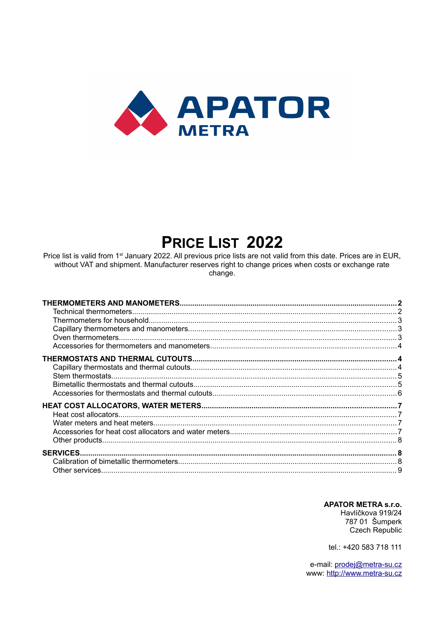

# PRICE LIST 2022

Price list is valid from 1<sup>st</sup> January 2022. All previous price lists are not valid from this date. Prices are in EUR, without VAT and shipment. Manufacturer reserves right to change prices when costs or exchange rate change.

**APATOR METRA s.r.o.** Havlíčkova 919/24

787 01 Šumperk Czech Republic

tel.: +420 583 718 111

e-mail: prodej@metra-su.cz www: http://www.metra-su.cz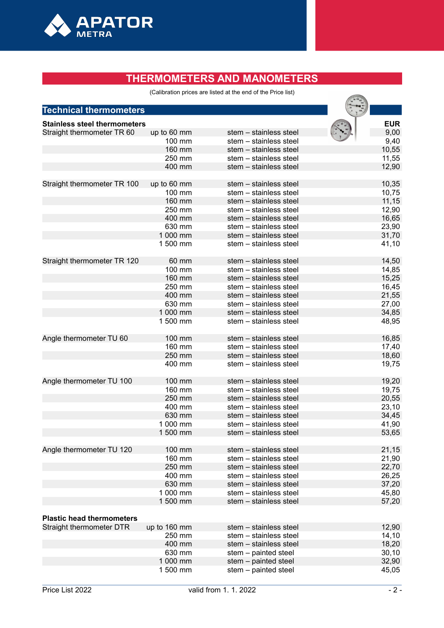

# **THERMOMETERS AND MANOMETERS**

(Calibration prices are listed at the end of the Price list)

|                                     |                  | (Calibration prices are listed at the end of the Price list) |                |
|-------------------------------------|------------------|--------------------------------------------------------------|----------------|
| <b>Technical thermometers</b>       |                  |                                                              |                |
|                                     |                  |                                                              |                |
| <b>Stainless steel thermometers</b> |                  |                                                              | <b>EUR</b>     |
| Straight thermometer TR 60          | up to 60 mm      | stem - stainless steel                                       | 9,00           |
|                                     | 100 mm           | stem - stainless steel                                       | 9,40           |
|                                     | 160 mm           | stem - stainless steel                                       | 10,55          |
|                                     | 250 mm           | stem - stainless steel                                       | 11,55          |
|                                     | 400 mm           | stem - stainless steel                                       | 12,90          |
| Straight thermometer TR 100         | up to 60 mm      | stem - stainless steel                                       | 10,35          |
|                                     | 100 mm           | stem - stainless steel                                       | 10,75          |
|                                     | 160 mm           | stem – stainless steel                                       | 11,15          |
|                                     | 250 mm           | stem – stainless steel                                       | 12,90          |
|                                     | 400 mm           | stem - stainless steel                                       | 16,65          |
|                                     | 630 mm           | stem - stainless steel                                       | 23,90          |
|                                     | 1 000 mm         | stem - stainless steel                                       | 31,70          |
|                                     | 1 500 mm         | stem - stainless steel                                       | 41,10          |
|                                     |                  |                                                              |                |
| Straight thermometer TR 120         | 60 mm            | stem - stainless steel                                       | 14,50          |
|                                     | 100 mm<br>160 mm | stem - stainless steel<br>stem - stainless steel             | 14,85          |
|                                     | 250 mm           |                                                              | 15,25          |
|                                     | 400 mm           | stem - stainless steel                                       | 16,45<br>21,55 |
|                                     | 630 mm           | stem - stainless steel<br>stem - stainless steel             |                |
|                                     | 1 000 mm         | stem – stainless steel                                       | 27,00          |
|                                     |                  |                                                              | 34,85          |
|                                     | 1 500 mm         | stem - stainless steel                                       | 48,95          |
| Angle thermometer TU 60             | 100 mm           | stem - stainless steel                                       | 16,85          |
|                                     | 160 mm           | stem - stainless steel                                       | 17,40          |
|                                     | 250 mm           | stem - stainless steel                                       | 18,60          |
|                                     | 400 mm           | stem - stainless steel                                       | 19,75          |
| Angle thermometer TU 100            | 100 mm           | stem - stainless steel                                       | 19,20          |
|                                     | 160 mm           | stem - stainless steel                                       | 19,75          |
|                                     | 250 mm           | stem - stainless steel                                       | 20,55          |
|                                     | 400 mm           | stem - stainless steel                                       | 23,10          |
|                                     | 630 mm           | stem - stainless steel                                       | 34,45          |
|                                     | 1 000 mm         | stem – stainless steel                                       | 41,90          |
|                                     | 1 500 mm         | stem - stainless steel                                       | 53,65          |
| Angle thermometer TU 120            | 100 mm           | stem - stainless steel                                       | 21,15          |
|                                     | 160 mm           | stem - stainless steel                                       |                |
|                                     | 250 mm           | stem - stainless steel                                       | 21,90<br>22,70 |
|                                     | 400 mm           | stem - stainless steel                                       | 26,25          |
|                                     | 630 mm           | stem - stainless steel                                       | 37,20          |
|                                     | 1 000 mm         | stem - stainless steel                                       | 45,80          |
|                                     | 1 500 mm         | stem - stainless steel                                       | 57,20          |
|                                     |                  |                                                              |                |
| <b>Plastic head thermometers</b>    |                  |                                                              |                |
| Straight thermometer DTR            | up to 160 mm     | stem - stainless steel                                       | 12,90          |
|                                     | 250 mm           | stem - stainless steel                                       | 14,10          |
|                                     | 400 mm           | stem - stainless steel                                       | 18,20          |
|                                     | 630 mm           | stem - painted steel                                         | 30, 10         |
|                                     | 1 000 mm         | stem - painted steel                                         | 32,90          |
|                                     | 1 500 mm         | stem - painted steel                                         | 45,05          |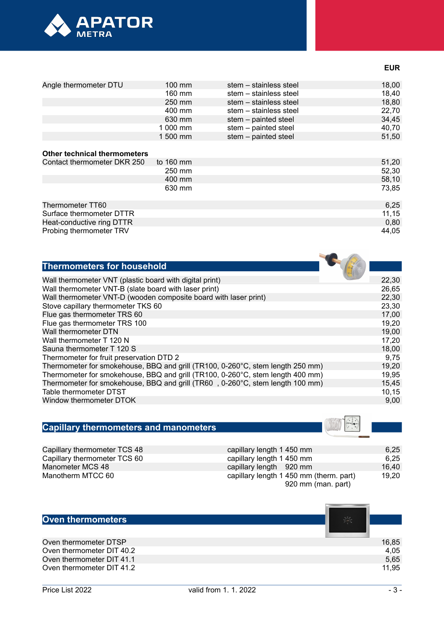

|  | I<br>×<br>۰. |  |
|--|--------------|--|
|--|--------------|--|

 $\sim$   $\sim$ 

| Angle thermometer DTU               | $100$ mm            | stem – stainless steel | 18,00 |
|-------------------------------------|---------------------|------------------------|-------|
|                                     | 160 mm              | stem – stainless steel | 18,40 |
|                                     | 250 mm              | stem - stainless steel | 18,80 |
|                                     | 400 mm              | stem - stainless steel | 22,70 |
|                                     | 630 mm              | stem - painted steel   | 34,45 |
|                                     | 1 000 mm            | stem - painted steel   | 40,70 |
|                                     | 1 500 mm            | stem - painted steel   | 51,50 |
|                                     |                     |                        |       |
| <b>Other technical thermometers</b> |                     |                        |       |
| Contact thermometer DKR 250         | to $160 \text{ mm}$ |                        | 51,20 |
|                                     | 250 mm              |                        | 52,30 |
|                                     | 400 mm              |                        | 58,10 |
|                                     | 630 mm              |                        | 73,85 |
|                                     |                     |                        |       |
| Thermometer TT60                    |                     |                        | 6,25  |
| Surface thermometer DTTR            |                     |                        | 11,15 |
| Heat-conductive ring DTTR           |                     |                        | 0,80  |
| Probing thermometer TRV             |                     |                        | 44,05 |

| <b>Thermometers for household</b>                                              |        |
|--------------------------------------------------------------------------------|--------|
| Wall thermometer VNT (plastic board with digital print)                        | 22,30  |
| Wall thermometer VNT-B (slate board with laser print)                          | 26,65  |
| Wall thermometer VNT-D (wooden composite board with laser print)               | 22,30  |
| Stove capillary thermometer TKS 60                                             | 23,30  |
| Flue gas thermometer TRS 60                                                    | 17,00  |
| Flue gas thermometer TRS 100                                                   | 19,20  |
| Wall thermometer DTN                                                           | 19,00  |
| Wall thermometer T 120 N                                                       | 17,20  |
| Sauna thermometer T 120 S                                                      | 18,00  |
| Thermometer for fruit preservation DTD 2                                       | 9,75   |
| Thermometer for smokehouse, BBQ and grill (TR100, 0-260°C, stem length 250 mm) | 19,20  |
| Thermometer for smokehouse, BBQ and grill (TR100, 0-260°C, stem length 400 mm) | 19,95  |
| Thermometer for smokehouse, BBQ and grill (TR60, 0-260°C, stem length 100 mm)  | 15,45  |
| Table thermometer DTST                                                         | 10, 15 |
| Window thermometer DTOK                                                        | 9,00   |
|                                                                                |        |

# **Capillary thermometers and manometers**

| Capillary thermometer TCS 48 | capillary length 1 450 mm               | 6.25  |
|------------------------------|-----------------------------------------|-------|
| Capillary thermometer TCS 60 | capillary length 1 450 mm               | 6,25  |
| Manometer MCS 48             | capillary length 920 mm                 | 16.40 |
| Manotherm MTCC 60            | capillary length 1 450 mm (therm. part) | 19.20 |
|                              | 920 mm (man. part)                      |       |

| <b>Oven thermometers</b>  | 荅     |
|---------------------------|-------|
|                           |       |
| Oven thermometer DTSP     | 16,85 |
| Oven thermometer DIT 40.2 | 4,05  |
| Oven thermometer DIT 41.1 | 5,65  |
| Oven thermometer DIT 41.2 | 11,95 |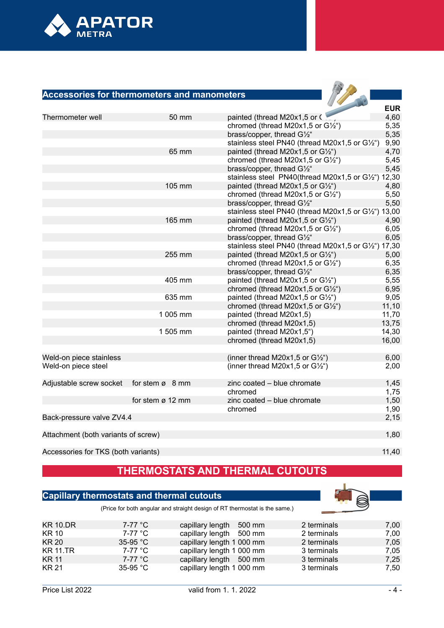

### **Accessories for thermometers and manometers**

| <b>Accessories for thermometers and manometers</b> |                             |                                                      |            |
|----------------------------------------------------|-----------------------------|------------------------------------------------------|------------|
|                                                    |                             |                                                      |            |
|                                                    |                             |                                                      | <b>EUR</b> |
| Thermometer well                                   | 50 mm                       | painted (thread M20x1,5 or C                         | 4,60       |
|                                                    |                             | chromed (thread M20x1,5 or $G\frac{1}{2}$ ")         | 5,35       |
|                                                    |                             | brass/copper, thread G1/2"                           | 5,35       |
|                                                    |                             | stainless steel PN40 (thread M20x1,5 or G1/2")       | 9,90       |
|                                                    | 65 mm                       | painted (thread M20x1,5 or G1/2")                    | 4,70       |
|                                                    |                             | chromed (thread M20x1,5 or $G\frac{1}{2}$ ")         | 5,45       |
|                                                    |                             | brass/copper, thread G1/2"                           | 5,45       |
|                                                    |                             | stainless steel PN40(thread M20x1,5 or G1/2") 12,30  |            |
|                                                    | 105 mm                      | painted (thread M20x1,5 or G1/2")                    | 4,80       |
|                                                    |                             | chromed (thread M20x1,5 or $G\frac{1}{2}$ ")         | 5,50       |
|                                                    |                             | brass/copper, thread G1/2"                           | 5,50       |
|                                                    |                             | stainless steel PN40 (thread M20x1,5 or G1/2") 13,00 |            |
|                                                    | 165 mm                      | painted (thread M20x1,5 or $G\frac{1}{2}$ ")         | 4,90       |
|                                                    |                             | chromed (thread M20x1,5 or G1/2")                    | 6,05       |
|                                                    |                             | brass/copper, thread G1/2"                           | 6,05       |
|                                                    |                             | stainless steel PN40 (thread M20x1,5 or G1/2") 17,30 |            |
|                                                    | 255 mm                      | painted (thread M20x1,5 or $G\frac{1}{2}$ ")         | 5,00       |
|                                                    |                             | chromed (thread M20x1,5 or G1/2")                    | 6,35       |
|                                                    |                             | brass/copper, thread G1/2"                           | 6,35       |
|                                                    | 405 mm                      | painted (thread M20x1,5 or $G\frac{1}{2}$ ")         | 5,55       |
|                                                    |                             | chromed (thread M20x1,5 or $G\frac{1}{2}$ ")         | 6,95       |
|                                                    | 635 mm                      | painted (thread M20x1,5 or G1/2")                    | 9,05       |
|                                                    |                             | chromed (thread M20x1,5 or $G'/_{2}$ ")              | 11,10      |
|                                                    | 1 005 mm                    | painted (thread M20x1,5)                             | 11,70      |
|                                                    |                             | chromed (thread M20x1,5)                             | 13,75      |
|                                                    | 1 505 mm                    | painted (thread M20x1,5")                            | 14,30      |
|                                                    |                             | chromed (thread M20x1,5)                             | 16,00      |
|                                                    |                             |                                                      |            |
| Weld-on piece stainless                            |                             | (inner thread M20x1,5 or $G\frac{1}{2}$ ")           | 6,00       |
| Weld-on piece steel                                |                             | (inner thread M20x1,5 or $G\frac{1}{2}$ ")           | 2,00       |
|                                                    |                             |                                                      |            |
| Adjustable screw socket                            | for stem $\varnothing$ 8 mm | zinc coated - blue chromate                          | 1,45       |
|                                                    |                             | chromed                                              | 1,75       |
|                                                    | for stem ø 12 mm            | zinc coated - blue chromate                          | 1,50       |
|                                                    |                             | chromed                                              | 1,90       |
| Back-pressure valve ZV4.4                          |                             |                                                      | 2,15       |
|                                                    |                             |                                                      |            |
| Attachment (both variants of screw)                |                             |                                                      | 1,80       |
|                                                    |                             |                                                      |            |

Accessories for TKS (both variants) 11,40

# **THERMOSTATS AND THERMAL CUTOUTS**

### **Capillary thermostats and thermal cutouts**



(Price for both angular and straight design of RT thermostat is the same.)

| <b>KR 10.DR</b> | 7-77 °C    | capillary length 500 mm   | 2 terminals | 7,00 |
|-----------------|------------|---------------------------|-------------|------|
| <b>KR 10</b>    | 7-77 °C    | capillary length 500 mm   | 2 terminals | 7,00 |
| KR 20           | $35-95$ °C | capillary length 1 000 mm | 2 terminals | 7,05 |
| <b>KR 11.TR</b> | 7-77 °C    | capillary length 1 000 mm | 3 terminals | 7,05 |
| KR 11           | 7-77 °C    | capillary length 500 mm   | 3 terminals | 7,25 |
| <b>KR 21</b>    | 35-95 °C   | capillary length 1 000 mm | 3 terminals | 7,50 |
|                 |            |                           |             |      |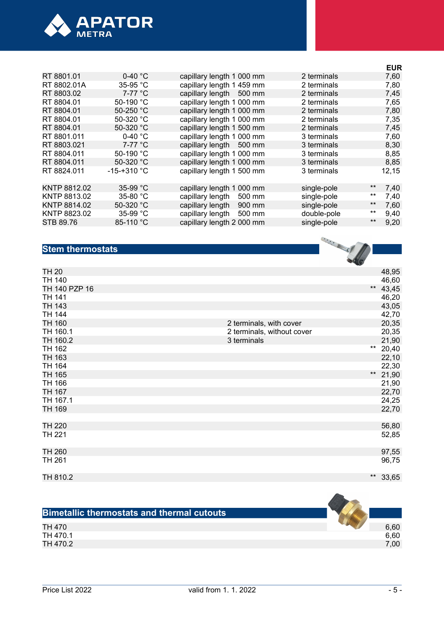

|                     |                              |             | <b>EUR</b>    |
|---------------------|------------------------------|-------------|---------------|
| $0-40 °C$           | capillary length 1 000 mm    | 2 terminals | 7,60          |
| 35-95 °C            | capillary length 1 459 mm    | 2 terminals | 7,80          |
| $7-77$ °C           | capillary length 500 mm      | 2 terminals | 7,45          |
| 50-190 °C           | capillary length 1 000 mm    | 2 terminals | 7,65          |
| 50-250 $^{\circ}$ C | capillary length 1 000 mm    | 2 terminals | 7,80          |
| 50-320 $^{\circ}$ C | capillary length 1 000 mm    | 2 terminals | 7,35          |
| 50-320 $^{\circ}$ C | capillary length 1 500 mm    | 2 terminals | 7,45          |
| 0-40 $^{\circ}$ C   | capillary length 1 000 mm    | 3 terminals | 7,60          |
| 7-77 °C             | capillary length 500 mm      | 3 terminals | 8,30          |
| 50-190 °C           | capillary length 1 000 mm    | 3 terminals | 8,85          |
| 50-320 °C           | capillary length 1 000 mm    | 3 terminals | 8,85          |
| $-15 - +310$ °C     | capillary length 1 500 mm    | 3 terminals | 12,15         |
| 35-99 $^{\circ}$ C  | capillary length 1<br>000 mm | single-pole | $***$<br>7,40 |
| 35-80 $°C$          | capillary length<br>500 mm   | single-pole | **<br>7,40    |
| 50-320 $^{\circ}$ C | capillary length<br>900 mm   | single-pole | $***$<br>7,60 |
| 35-99 $^{\circ}$ C  | capillary length<br>500 mm   | double-pole | $***$<br>9,40 |
| 85-110 °C           | capillary length 2 000 mm    | single-pole | $***$<br>9,20 |
|                     |                              |             |               |

### **Stem thermostats**

| <b>Stem thermostats</b> |                            | <b>CONTRACTOR</b> |            |
|-------------------------|----------------------------|-------------------|------------|
| <b>TH 20</b>            |                            |                   | 48,95      |
| TH 140                  |                            |                   | 46,60      |
| TH 140 PZP 16           |                            |                   | ** $43,45$ |
| <b>TH 141</b>           |                            |                   | 46,20      |
| <b>TH 143</b>           |                            |                   | 43,05      |
| <b>TH 144</b>           |                            |                   | 42,70      |
| TH 160                  | 2 terminals, with cover    |                   | 20,35      |
| TH 160.1                | 2 terminals, without cover |                   | 20,35      |
| TH 160.2                | 3 terminals                |                   | 21,90      |
| TH 162                  |                            |                   | ** 20,40   |
| TH 163                  |                            |                   | 22,10      |
| TH 164                  |                            |                   | 22,30      |
| TH 165                  |                            |                   | ** 21,90   |
| TH 166                  |                            |                   | 21,90      |
| <b>TH 167</b>           |                            |                   | 22,70      |
| TH 167.1                |                            |                   | 24,25      |
| TH 169                  |                            |                   | 22,70      |
| <b>TH 220</b>           |                            |                   | 56,80      |
| <b>TH 221</b>           |                            |                   | 52,85      |
| TH 260                  |                            |                   | 97,55      |
| TH 261                  |                            |                   | 96,75      |
| TH 810.2                |                            | $***$             | 33,65      |

| <b>Bimetallic thermostats and thermal cutouts</b> |      |
|---------------------------------------------------|------|
| TH 470                                            | 6,60 |
| TH 470.1                                          | 6,60 |
| TH 470.2                                          | 7,00 |

 $\sim$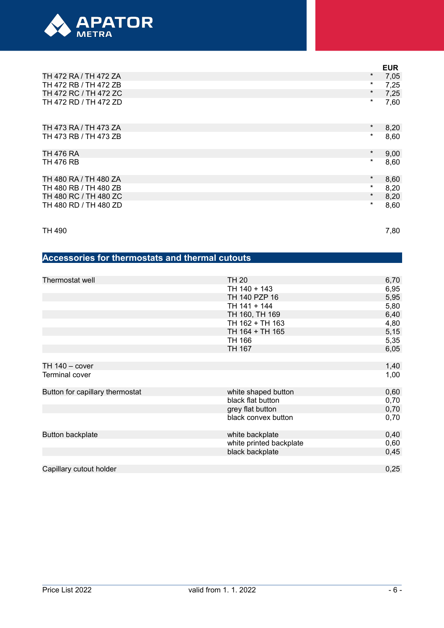

|                       |          | <b>EUR</b> |
|-----------------------|----------|------------|
| TH 472 RA / TH 472 ZA | $\ast$   | 7,05       |
| TH 472 RB / TH 472 ZB | $\star$  | 7,25       |
| TH 472 RC / TH 472 ZC | $^\star$ | 7,25       |
| TH 472 RD / TH 472 ZD | $^\star$ | 7,60       |
| TH 473 RA / TH 473 ZA | $^\star$ | 8,20       |
| TH 473 RB / TH 473 ZB | $^\star$ | 8,60       |
| TH 476 RA             | $\star$  | 9,00       |
| <b>TH 476 RB</b>      | $^\star$ | 8,60       |
| TH 480 RA / TH 480 ZA | $\star$  | 8,60       |
| TH 480 RB / TH 480 ZB | $\star$  | 8,20       |
| TH 480 RC / TH 480 ZC | $\star$  | 8,20       |
| TH 480 RD / TH 480 ZD | $^\star$ | 8,60       |

TH 490  $\hspace{1.5cm} 7,80$ 

# **Accessories for thermostats and thermal cutouts**

| Thermostat well                 | TH 20                   | 6,70 |
|---------------------------------|-------------------------|------|
|                                 | TH 140 + 143            | 6,95 |
|                                 | TH 140 PZP 16           | 5,95 |
|                                 | TH 141 + 144            | 5,80 |
|                                 | TH 160, TH 169          | 6,40 |
|                                 | TH 162 + TH 163         | 4,80 |
|                                 | TH 164 + TH 165         | 5,15 |
|                                 | TH 166                  | 5,35 |
|                                 | TH 167                  | 6,05 |
|                                 |                         |      |
| TH $140 - \text{cover}$         |                         | 1,40 |
| Terminal cover                  |                         | 1,00 |
| Button for capillary thermostat | white shaped button     | 0,60 |
|                                 | black flat button       | 0,70 |
|                                 | grey flat button        | 0,70 |
|                                 | black convex button     | 0,70 |
|                                 |                         |      |
| <b>Button backplate</b>         | white backplate         | 0,40 |
|                                 | white printed backplate | 0,60 |
|                                 | black backplate         | 0,45 |
|                                 |                         |      |
| Capillary cutout holder         |                         | 0,25 |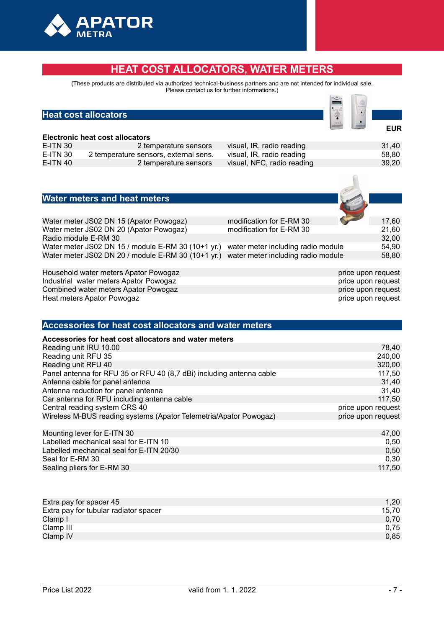

### **HEAT COST ALLOCATORS, WATER METERS**

(These products are distributed via authorized technical-business partners and are not intended for individual sale. Please contact us for further informations.)

#### **Heat cost allocators**

#### **Electronic heat cost allocators**

| EIVVII VIIIV HVAL VVVL ANVVALVIV |                                       |                            |       |  |
|----------------------------------|---------------------------------------|----------------------------|-------|--|
| E-ITN 30                         | 2 temperature sensors                 | visual, IR, radio reading  | 31,40 |  |
| E-ITN 30                         | 2 temperature sensors, external sens. | visual, IR, radio reading  | 58,80 |  |
| E-ITN 40                         | 2 temperature sensors                 | visual, NFC, radio reading | 39,20 |  |
|                                  |                                       |                            |       |  |

### **Water meters and heat meters**

| modification for E-RM 30<br>Water meter JS02 DN 15 (Apator Powogaz)                      | <b>Contract Contract Contract</b><br>17.60 |
|------------------------------------------------------------------------------------------|--------------------------------------------|
| Water meter JS02 DN 20 (Apator Powogaz)<br>modification for E-RM 30                      | 21.60                                      |
| Radio module E-RM 30                                                                     | 32,00                                      |
| Water meter JS02 DN 15 / module E-RM 30 (10+1 yr.)<br>water meter including radio module | 54.90                                      |
| water meter including radio module<br>Water meter JS02 DN 20 / module E-RM 30 (10+1 yr.) | 58,80                                      |

Household water meters Apator Powogaz **price upon request** hadustrial water meters Apator Powogaz **price upon request**<br> **Price upon request** industrial water meters Apator Powogaz Industrial water meters Apator Powogaz **price upon request and the experimental experiment of the experiment of the experiment of the experiment of the experiment of the experiment of the experiment of the experiment of th** Combined water meters Apator Powogaz between the combined water meters Apator Powogaz price upon request<br>
Heat meters Apator Powogaz price upon request Heat meters Apator Powogaz

 **EUR**

#### **Accessories for heat cost allocators and water meters**

| Accessories for heat cost allocators and water meters                |                    |
|----------------------------------------------------------------------|--------------------|
| Reading unit IRU 10.00                                               | 78,40              |
| Reading unit RFU 35                                                  | 240,00             |
| Reading unit RFU 40                                                  | 320,00             |
| Panel antenna for RFU 35 or RFU 40 (8,7 dBi) including antenna cable | 117,50             |
| Antenna cable for panel antenna                                      | 31,40              |
| Antenna reduction for panel antenna                                  | 31,40              |
| Car antenna for RFU including antenna cable                          | 117,50             |
| Central reading system CRS 40                                        | price upon request |
| Wireless M-BUS reading systems (Apator Telemetria/Apator Powogaz)    | price upon request |
|                                                                      |                    |
| Mounting lever for E-ITN 30                                          | 47,00              |
| Labelled mechanical seal for E-ITN 10                                | 0,50               |
| Labelled mechanical seal for E-ITN 20/30                             | 0,50               |
| Seal for E-RM 30                                                     | 0,30               |

|                           | .  |
|---------------------------|----|
|                           |    |
|                           |    |
|                           |    |
|                           |    |
|                           |    |
|                           |    |
|                           |    |
|                           |    |
|                           |    |
|                           |    |
|                           |    |
| Extra nay for spacer $45$ | 20 |
|                           |    |

Sealing pliers for F-RM 30 117,500 117,500 117,500 117,500 117,500 117,500 117,500 117,500 117,500 117,500 117,500 117,500 117,500 117,500 117,500 117,500 117,500 117,500 117,500 117,500 117,500 117,500 117,500 117,500 117

| Extra pay for spacer 45               | $1.20^{\circ}$ |
|---------------------------------------|----------------|
| Extra pay for tubular radiator spacer | 15.70          |
| Clamp I                               | 0.70           |
| Clamp III                             | 0.75           |
| Clamp IV                              | 0,85           |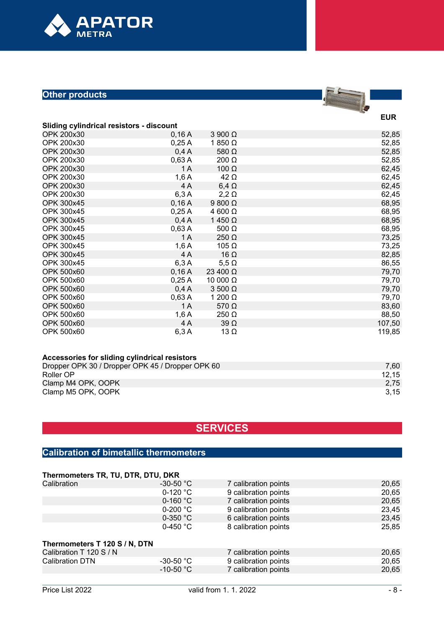

### **Other products**

# $\overline{\phantom{a}}$

**EUR**

| <b>Sliding cylindrical resistors - discount</b> |  |
|-------------------------------------------------|--|
|                                                 |  |

| OPK 200x30        | 0,16A | $3900 \Omega$  | 52,85  |
|-------------------|-------|----------------|--------|
| OPK 200x30        | 0,25A | 1 850 $\Omega$ | 52,85  |
| OPK 200x30        | 0,4A  | 580 $\Omega$   | 52,85  |
| OPK 200x30        | 0,63A | $200 \Omega$   | 52,85  |
| <b>OPK 200x30</b> | 1 A   | $100 \Omega$   | 62,45  |
| OPK 200x30        | 1,6A  | $42 \Omega$    | 62,45  |
| OPK 200x30        | 4 A   | $6,4 \Omega$   | 62,45  |
| OPK 200x30        | 6,3A  | $2,2 \Omega$   | 62,45  |
| <b>OPK 300x45</b> | 0,16A | $9800 \Omega$  | 68,95  |
| OPK 300x45        | 0,25A | 4 600 $\Omega$ | 68,95  |
| <b>OPK 300x45</b> | 0,4A  | 1 450 $\Omega$ | 68,95  |
| <b>OPK 300x45</b> | 0,63A | 500 $\Omega$   | 68,95  |
| <b>OPK 300x45</b> | 1 A   | 250 $\Omega$   | 73,25  |
| OPK 300x45        | 1,6A  | 105 $\Omega$   | 73,25  |
| <b>OPK 300x45</b> | 4 A   | 16 $\Omega$    | 82,85  |
| <b>OPK 300x45</b> | 6,3A  | $5,5 \Omega$   | 86,55  |
| <b>OPK 500x60</b> | 0,16A | 23 400 Ω       | 79,70  |
| OPK 500x60        | 0,25A | 10 000 Ω       | 79,70  |
| <b>OPK 500x60</b> | 0,4A  | $3500 \Omega$  | 79,70  |
| OPK 500x60        | 0,63A | 1 200 $\Omega$ | 79,70  |
| <b>OPK 500x60</b> | 1 A   | 570 $\Omega$   | 83,60  |
| OPK 500x60        | 1,6A  | 250 $\Omega$   | 88,50  |
| <b>OPK 500x60</b> | 4 A   | $39\Omega$     | 107,50 |
| OPK 500x60        | 6,3A  | $13 \Omega$    | 119,85 |

| Accessories for sliding cylindrical resistors    |       |
|--------------------------------------------------|-------|
| Dropper OPK 30 / Dropper OPK 45 / Dropper OPK 60 | 7.60  |
| Roller OP                                        | 12.15 |
| Clamp M4 OPK, OOPK                               | 2,75  |
| Clamp M5 OPK, OOPK                               | 3,15  |

# **SERVICES**

## **Calibration of bimetallic thermometers**

| Thermometers TR, TU, DTR, DTU, DKR |                    |                      |       |  |
|------------------------------------|--------------------|----------------------|-------|--|
| Calibration                        | $-30-50 °C$        | 7 calibration points | 20,65 |  |
|                                    | $0-120$ °C         | 9 calibration points | 20,65 |  |
|                                    | $0-160 °C$         | 7 calibration points | 20,65 |  |
|                                    | $0-200 °C$         | 9 calibration points | 23,45 |  |
|                                    | $0-350$ °C         | 6 calibration points | 23,45 |  |
|                                    | 0-450 $^{\circ}$ C | 8 calibration points | 25,85 |  |
|                                    |                    |                      |       |  |
| Calibration T 120 S / N            |                    | 7 calibration points | 20,65 |  |
| <b>Calibration DTN</b>             | $-30-50 °C$        | 9 calibration points | 20,65 |  |
|                                    | $-10-50 °C$        | 7 calibration points | 20,65 |  |
| Thermometers T 120 S / N, DTN      |                    |                      |       |  |